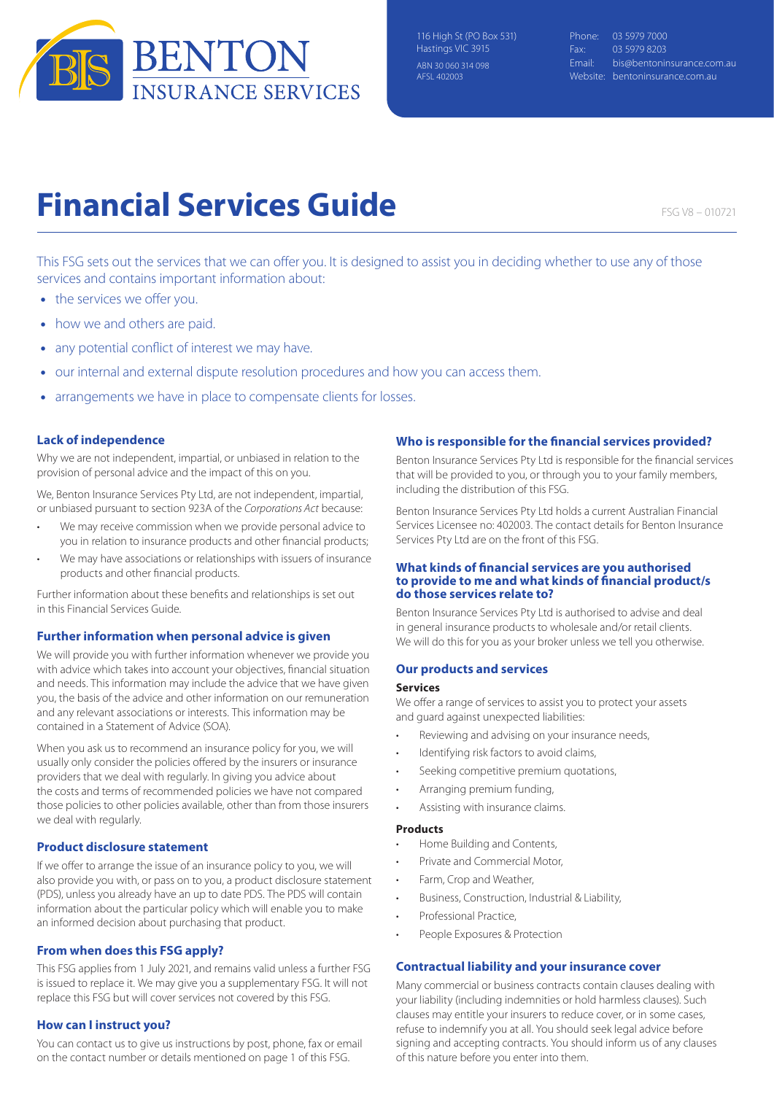

Phone: 03 5979 7000 Fax: 03 5979 8203 Email: bis@bentoninsurance.com.au Website: bentoninsurance.com.au

# **Financial Services Guide**

FSG V8 – 010721

This FSG sets out the services that we can offer you. It is designed to assist you in deciding whether to use any of those services and contains important information about:

- the services we offer you.
- how we and others are paid.
- any potential conflict of interest we may have.
- our internal and external dispute resolution procedures and how you can access them.
- arrangements we have in place to compensate clients for losses.

# **Lack of independence**

Why we are not independent, impartial, or unbiased in relation to the provision of personal advice and the impact of this on you.

We, Benton Insurance Services Pty Ltd, are not independent, impartial, or unbiased pursuant to section 923A of the *Corporations Act* because:

- We may receive commission when we provide personal advice to you in relation to insurance products and other financial products;
- We may have associations or relationships with issuers of insurance products and other financial products.

Further information about these benefits and relationships is set out in this Financial Services Guide.

# **Further information when personal advice is given**

We will provide you with further information whenever we provide you with advice which takes into account your objectives, financial situation and needs. This information may include the advice that we have given you, the basis of the advice and other information on our remuneration and any relevant associations or interests. This information may be contained in a Statement of Advice (SOA).

When you ask us to recommend an insurance policy for you, we will usually only consider the policies offered by the insurers or insurance providers that we deal with regularly. In giving you advice about the costs and terms of recommended policies we have not compared those policies to other policies available, other than from those insurers we deal with regularly.

# **Product disclosure statement**

If we offer to arrange the issue of an insurance policy to you, we will also provide you with, or pass on to you, a product disclosure statement (PDS), unless you already have an up to date PDS. The PDS will contain information about the particular policy which will enable you to make an informed decision about purchasing that product.

# **From when does this FSG apply?**

This FSG applies from 1 July 2021, and remains valid unless a further FSG is issued to replace it. We may give you a supplementary FSG. It will not replace this FSG but will cover services not covered by this FSG.

# **How can I instruct you?**

You can contact us to give us instructions by post, phone, fax or email on the contact number or details mentioned on page 1 of this FSG.

# **Who is responsible for the financial services provided?**

Benton Insurance Services Pty Ltd is responsible for the financial services that will be provided to you, or through you to your family members, including the distribution of this FSG.

Benton Insurance Services Pty Ltd holds a current Australian Financial Services Licensee no: 402003. The contact details for Benton Insurance Services Pty Ltd are on the front of this FSG.

# **What kinds of financial services are you authorised to provide to me and what kinds of financial product/s do those services relate to?**

Benton Insurance Services Pty Ltd is authorised to advise and deal in general insurance products to wholesale and/or retail clients. We will do this for you as your broker unless we tell you otherwise.

# **Our products and services**

#### **Services**

We offer a range of services to assist you to protect your assets and guard against unexpected liabilities:

- Reviewing and advising on your insurance needs,
- Identifying risk factors to avoid claims,
- Seeking competitive premium quotations,
- Arranging premium funding,
- Assisting with insurance claims.

## **Products**

- Home Building and Contents,
- Private and Commercial Motor,
- Farm, Crop and Weather,
- Business, Construction, Industrial & Liability,
- Professional Practice,
- People Exposures & Protection

# **Contractual liability and your insurance cover**

Many commercial or business contracts contain clauses dealing with your liability (including indemnities or hold harmless clauses). Such clauses may entitle your insurers to reduce cover, or in some cases, refuse to indemnify you at all. You should seek legal advice before signing and accepting contracts. You should inform us of any clauses of this nature before you enter into them.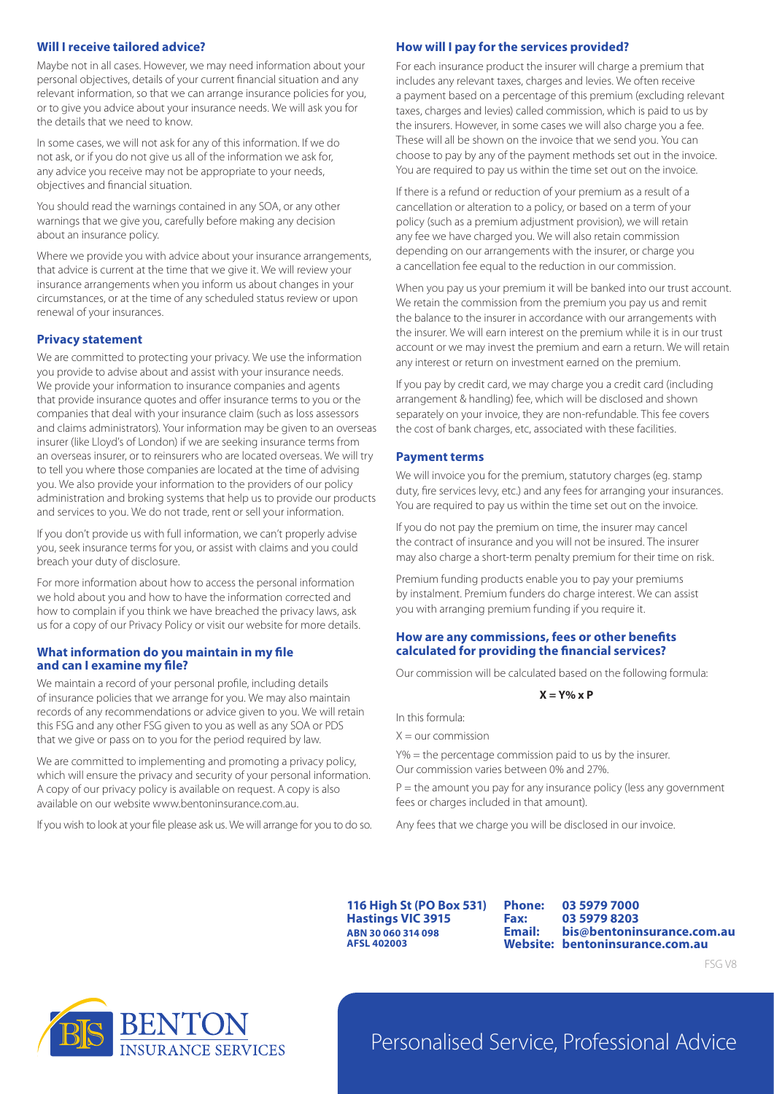# **Will I receive tailored advice?**

Maybe not in all cases. However, we may need information about your personal objectives, details of your current financial situation and any relevant information, so that we can arrange insurance policies for you, or to give you advice about your insurance needs. We will ask you for the details that we need to know.

In some cases, we will not ask for any of this information. If we do not ask, or if you do not give us all of the information we ask for, any advice you receive may not be appropriate to your needs, objectives and financial situation.

You should read the warnings contained in any SOA, or any other warnings that we give you, carefully before making any decision about an insurance policy.

Where we provide you with advice about your insurance arrangements, that advice is current at the time that we give it. We will review your insurance arrangements when you inform us about changes in your circumstances, or at the time of any scheduled status review or upon renewal of your insurances.

# **Privacy statement**

We are committed to protecting your privacy. We use the information you provide to advise about and assist with your insurance needs. We provide your information to insurance companies and agents that provide insurance quotes and offer insurance terms to you or the companies that deal with your insurance claim (such as loss assessors and claims administrators). Your information may be given to an overseas insurer (like Lloyd's of London) if we are seeking insurance terms from an overseas insurer, or to reinsurers who are located overseas. We will try to tell you where those companies are located at the time of advising you. We also provide your information to the providers of our policy administration and broking systems that help us to provide our products and services to you. We do not trade, rent or sell your information.

If you don't provide us with full information, we can't properly advise you, seek insurance terms for you, or assist with claims and you could breach your duty of disclosure.

For more information about how to access the personal information we hold about you and how to have the information corrected and how to complain if you think we have breached the privacy laws, ask us for a copy of our Privacy Policy or visit our website for more details.

# **What information do you maintain in my file and can I examine my file?**

We maintain a record of your personal profile, including details of insurance policies that we arrange for you. We may also maintain records of any recommendations or advice given to you. We will retain this FSG and any other FSG given to you as well as any SOA or PDS that we give or pass on to you for the period required by law.

We are committed to implementing and promoting a privacy policy, which will ensure the privacy and security of your personal information. A copy of our privacy policy is available on request. A copy is also available on our website www.bentoninsurance.com.au.

If you wish to look at your file please ask us. We will arrange for you to do so.

# **How will I pay for the services provided?**

For each insurance product the insurer will charge a premium that includes any relevant taxes, charges and levies. We often receive a payment based on a percentage of this premium (excluding relevant taxes, charges and levies) called commission, which is paid to us by the insurers. However, in some cases we will also charge you a fee. These will all be shown on the invoice that we send you. You can choose to pay by any of the payment methods set out in the invoice. You are required to pay us within the time set out on the invoice.

If there is a refund or reduction of your premium as a result of a cancellation or alteration to a policy, or based on a term of your policy (such as a premium adjustment provision), we will retain any fee we have charged you. We will also retain commission depending on our arrangements with the insurer, or charge you a cancellation fee equal to the reduction in our commission.

When you pay us your premium it will be banked into our trust account. We retain the commission from the premium you pay us and remit the balance to the insurer in accordance with our arrangements with the insurer. We will earn interest on the premium while it is in our trust account or we may invest the premium and earn a return. We will retain any interest or return on investment earned on the premium.

If you pay by credit card, we may charge you a credit card (including arrangement & handling) fee, which will be disclosed and shown separately on your invoice, they are non-refundable. This fee covers the cost of bank charges, etc, associated with these facilities.

# **Payment terms**

We will invoice you for the premium, statutory charges (eg. stamp duty, fire services levy, etc.) and any fees for arranging your insurances. You are required to pay us within the time set out on the invoice.

If you do not pay the premium on time, the insurer may cancel the contract of insurance and you will not be insured. The insurer may also charge a short-term penalty premium for their time on risk.

Premium funding products enable you to pay your premiums by instalment. Premium funders do charge interest. We can assist you with arranging premium funding if you require it.

# **How are any commissions, fees or other benefits calculated for providing the financial services?**

Our commission will be calculated based on the following formula:

#### **X = Y% x P**

In this formula:

 $X =$  our commission

Y% = the percentage commission paid to us by the insurer. Our commission varies between 0% and 27%.

 $P =$  the amount you pay for any insurance policy (less any government fees or charges included in that amount).

Any fees that we charge you will be disclosed in our invoice.

**116 High St (PO Box 531) Hastings VIC 3915 ABN 30 060 314 098 AFSL 402003**

**Phone: 03 5979 7000 Fax: 03 5979 8203 Email: bis@bentoninsurance.com.au Website: bentoninsurance.com.au**





# Personalised Service, Professional Advice